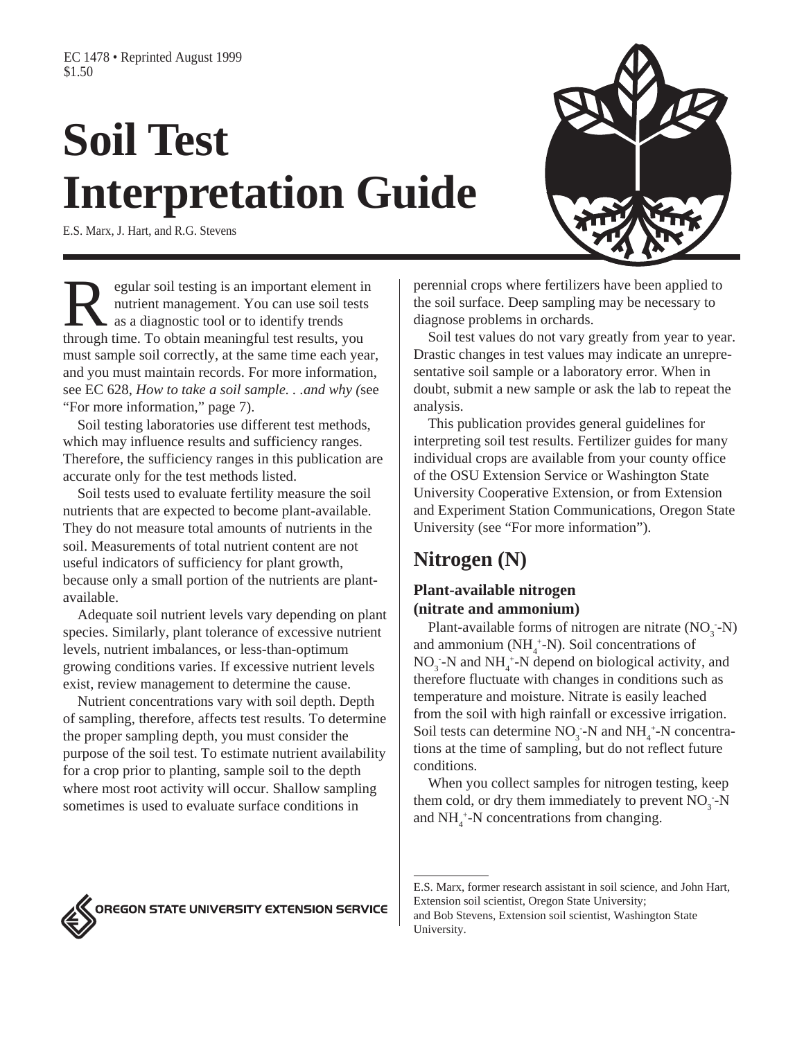# **Soil Test Interpretation Guide**

E.S. Marx, J. Hart, and R.G. Stevens



Example 1 and in the set of the set of the set of the set of the set of the set of the set of the set of the set of the set of the set of the set of the set of the set of the set of the set of the set of the set of the set nutrient management. You can use soil tests as a diagnostic tool or to identify trends through time. To obtain meaningful test results, you must sample soil correctly, at the same time each year, and you must maintain records. For more information, see EC 628, *How to take a soil sample. . .and why (*see "For more information," page 7).

Soil testing laboratories use different test methods, which may influence results and sufficiency ranges. Therefore, the sufficiency ranges in this publication are accurate only for the test methods listed.

Soil tests used to evaluate fertility measure the soil nutrients that are expected to become plant-available. They do not measure total amounts of nutrients in the soil. Measurements of total nutrient content are not useful indicators of sufficiency for plant growth, because only a small portion of the nutrients are plantavailable.

Adequate soil nutrient levels vary depending on plant species. Similarly, plant tolerance of excessive nutrient levels, nutrient imbalances, or less-than-optimum growing conditions varies. If excessive nutrient levels exist, review management to determine the cause.

Nutrient concentrations vary with soil depth. Depth of sampling, therefore, affects test results. To determine the proper sampling depth, you must consider the purpose of the soil test. To estimate nutrient availability for a crop prior to planting, sample soil to the depth where most root activity will occur. Shallow sampling sometimes is used to evaluate surface conditions in

perennial crops where fertilizers have been applied to the soil surface. Deep sampling may be necessary to diagnose problems in orchards.

Soil test values do not vary greatly from year to year. Drastic changes in test values may indicate an unrepresentative soil sample or a laboratory error. When in doubt, submit a new sample or ask the lab to repeat the analysis.

This publication provides general guidelines for interpreting soil test results. Fertilizer guides for many individual crops are available from your county office of the OSU Extension Service or Washington State University Cooperative Extension, or from Extension and Experiment Station Communications, Oregon State University (see "For more information").

## **Nitrogen (N)**

#### **Plant-available nitrogen (nitrate and ammonium)**

Plant-available forms of nitrogen are nitrate  $(NO<sub>3</sub> - N)$ and ammonium  $(NH_4^+N)$ . Soil concentrations of  $NO_3^-$ -N and  $NH_4^+$ -N depend on biological activity, and therefore fluctuate with changes in conditions such as temperature and moisture. Nitrate is easily leached from the soil with high rainfall or excessive irrigation. Soil tests can determine  $NO_3^-$ -N and  $NH_4^+$ -N concentrations at the time of sampling, but do not reflect future conditions.

When you collect samples for nitrogen testing, keep them cold, or dry them immediately to prevent  $NO_3^-$ -N and  $NH<sub>4</sub><sup>+</sup>-N$  concentrations from changing.

OREGON STATE UNIVERSITY EXTENSION SERVICE

E.S. Marx, former research assistant in soil science, and John Hart, Extension soil scientist, Oregon State University; and Bob Stevens, Extension soil scientist, Washington State University.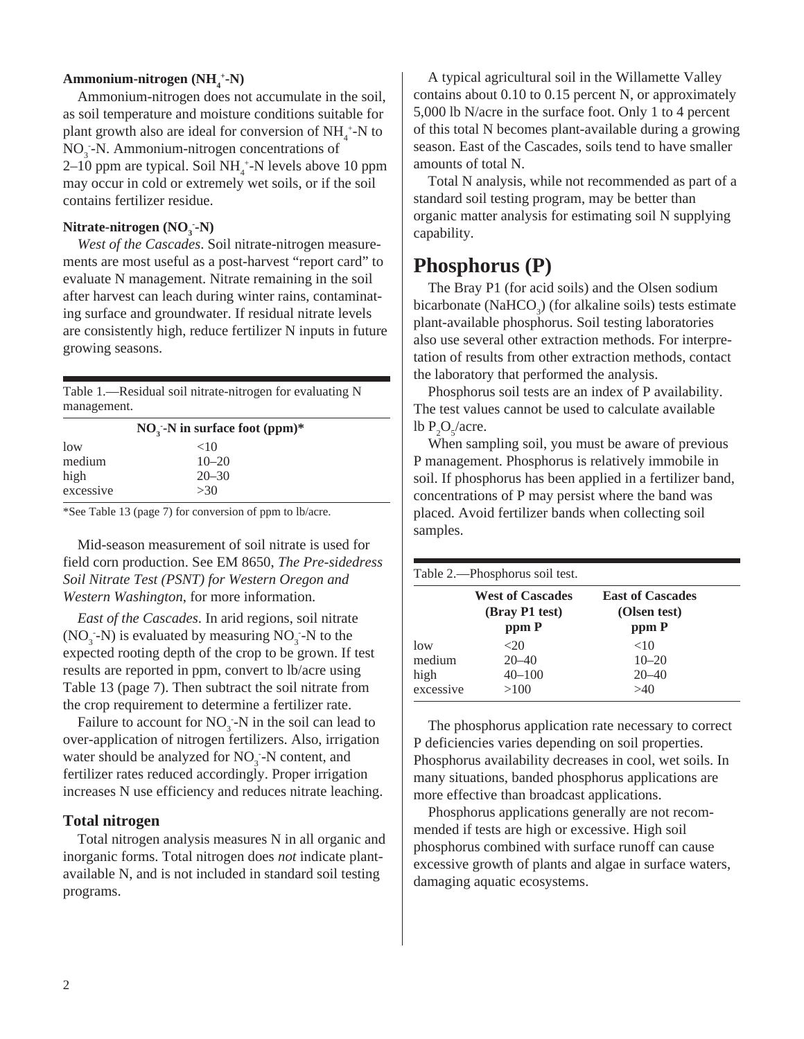#### **Ammonium-nitrogen** (NH<sub>4</sub><sup>+</sup>-N)

Ammonium-nitrogen does not accumulate in the soil, as soil temperature and moisture conditions suitable for plant growth also are ideal for conversion of  $NH_4^+$ -N to NO<sub>3</sub>-N. Ammonium-nitrogen concentrations of  $2-10$  ppm are typical. Soil NH<sub>4</sub><sup>+</sup>-N levels above 10 ppm may occur in cold or extremely wet soils, or if the soil contains fertilizer residue.

#### **Nitrate-nitrogen** (**NO<sub>3</sub>**-**N**)

*West of the Cascades*. Soil nitrate-nitrogen measurements are most useful as a post-harvest "report card" to evaluate N management. Nitrate remaining in the soil after harvest can leach during winter rains, contaminating surface and groundwater. If residual nitrate levels are consistently high, reduce fertilizer N inputs in future growing seasons.

Table 1.—Residual soil nitrate-nitrogen for evaluating N management.

|           | $NOi$ -N in surface foot (ppm)* |  |
|-----------|---------------------------------|--|
| low       | ${<}10$                         |  |
| medium    | $10 - 20$                       |  |
| high      | $20 - 30$                       |  |
| excessive | >30                             |  |

\*See Table 13 (page 7) for conversion of ppm to lb/acre.

Mid-season measurement of soil nitrate is used for field corn production. See EM 8650, *The Pre-sidedress Soil Nitrate Test (PSNT) for Western Oregon and Western Washington*, for more information.

*East of the Cascades*. In arid regions, soil nitrate  $(NO<sub>3</sub> - N)$  is evaluated by measuring  $NO<sub>3</sub> - N$  to the expected rooting depth of the crop to be grown. If test results are reported in ppm, convert to lb/acre using Table 13 (page 7). Then subtract the soil nitrate from the crop requirement to determine a fertilizer rate.

Failure to account for  $NO_3$ -N in the soil can lead to over-application of nitrogen fertilizers. Also, irrigation water should be analyzed for NO<sub>3</sub>-N content, and fertilizer rates reduced accordingly. Proper irrigation increases N use efficiency and reduces nitrate leaching.

#### **Total nitrogen**

Total nitrogen analysis measures N in all organic and inorganic forms. Total nitrogen does *not* indicate plantavailable N, and is not included in standard soil testing programs.

A typical agricultural soil in the Willamette Valley contains about 0.10 to 0.15 percent N, or approximately 5,000 lb N/acre in the surface foot. Only 1 to 4 percent of this total N becomes plant-available during a growing season. East of the Cascades, soils tend to have smaller amounts of total N.

Total N analysis, while not recommended as part of a standard soil testing program, may be better than organic matter analysis for estimating soil N supplying capability.

## **Phosphorus (P)**

The Bray P1 (for acid soils) and the Olsen sodium bicarbonate (Na $HCO<sub>3</sub>$ ) (for alkaline soils) tests estimate plant-available phosphorus. Soil testing laboratories also use several other extraction methods. For interpretation of results from other extraction methods, contact the laboratory that performed the analysis.

Phosphorus soil tests are an index of P availability. The test values cannot be used to calculate available lb  $P_2O_5/$ acre.

When sampling soil, you must be aware of previous P management. Phosphorus is relatively immobile in soil. If phosphorus has been applied in a fertilizer band, concentrations of P may persist where the band was placed. Avoid fertilizer bands when collecting soil samples.

Table 2.—Phosphorus soil test.

|           | <b>West of Cascades</b><br>(Bray P1 test) | <b>East of Cascades</b><br>(Olsen test) |
|-----------|-------------------------------------------|-----------------------------------------|
|           | ppm P                                     | ppm P                                   |
| low       | $<$ 20                                    | <10                                     |
| medium    | $20 - 40$                                 | $10 - 20$                               |
| high      | $40 - 100$                                | $20 - 40$                               |
| excessive | >100                                      | >40                                     |
|           |                                           |                                         |

The phosphorus application rate necessary to correct P deficiencies varies depending on soil properties. Phosphorus availability decreases in cool, wet soils. In many situations, banded phosphorus applications are more effective than broadcast applications.

Phosphorus applications generally are not recommended if tests are high or excessive. High soil phosphorus combined with surface runoff can cause excessive growth of plants and algae in surface waters, damaging aquatic ecosystems.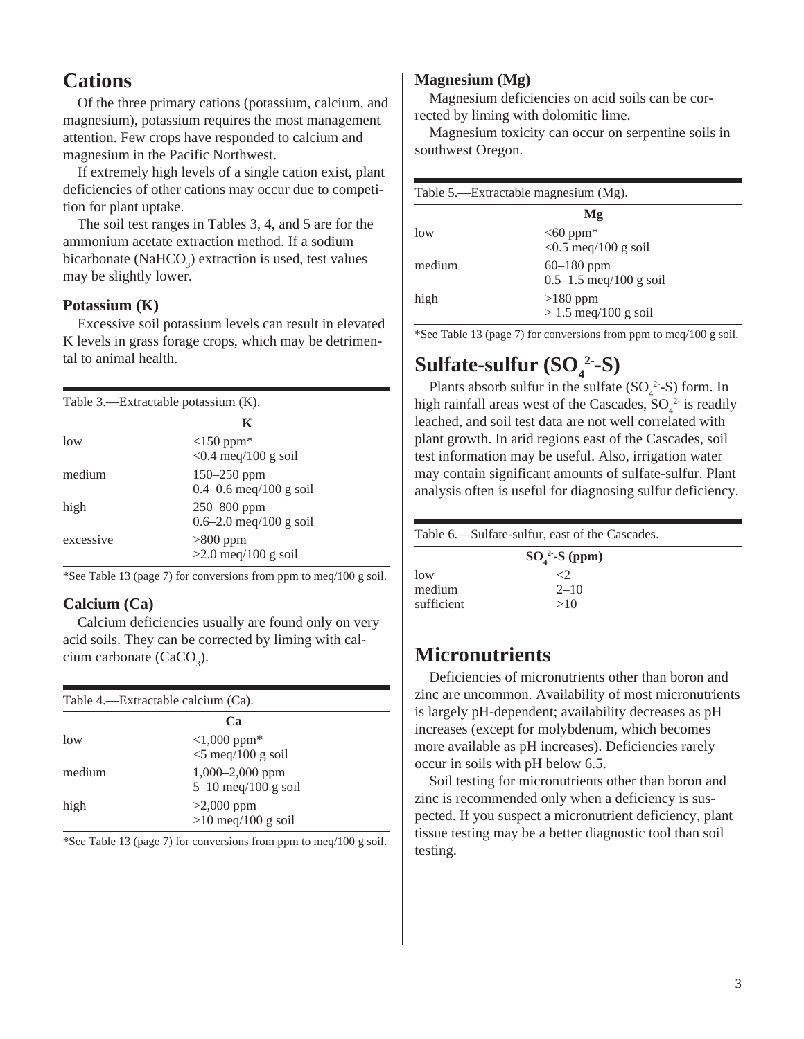## **Cations**

Of the three primary cations (potassium, calcium, and magnesium), potassium requires the most management attention. Few crops have responded to calcium and magnesium in the Pacific Northwest.

If extremely high levels of a single cation exist, plant deficiencies of other cations may occur due to competition for plant uptake.

The soil test ranges in Tables 3, 4, and 5 are for the ammonium acetate extraction method. If a sodium bicarbonate (Na $HCO_3$ ) extraction is used, test values may be slightly lower.

#### **Potassium (K)**

Excessive soil potassium levels can result in elevated K levels in grass forage crops, which may be detrimental to animal health.

| Table 3.—Extractable potassium $(K)$ . |                                                       |  |  |
|----------------------------------------|-------------------------------------------------------|--|--|
| K                                      |                                                       |  |  |
| low                                    | $\langle 150 \text{ ppm}^*$<br>$< 0.4$ meq/100 g soil |  |  |
| medium                                 | $150 - 250$ ppm<br>$0.4 - 0.6$ meq/100 g soil         |  |  |
| high                                   | $250 - 800$ ppm<br>$0.6 - 2.0$ meq/100 g soil         |  |  |
| excessive                              | $>800$ ppm<br>$>2.0$ meq/100 g soil                   |  |  |

\*See Table 13 (page 7) for conversions from ppm to meq/100 g soil.

#### **Calcium (Ca)**

Calcium deficiencies usually are found only on very acid soils. They can be corrected by liming with calcium carbonate (CaCO<sub>3</sub>).

| Table 4.—Extractable calcium (Ca). |                                          |  |
|------------------------------------|------------------------------------------|--|
|                                    | Ca                                       |  |
| low                                | $<1,000$ ppm*<br>$\leq$ 5 meg/100 g soil |  |
| medium                             | 1,000-2,000 ppm<br>$5-10$ meg/100 g soil |  |
| high                               | $>2,000$ ppm<br>$>10$ meq/100 g soil     |  |

\*See Table 13 (page 7) for conversions from ppm to meq/100 g soil.

#### **Magnesium (Mg)**

Magnesium deficiencies on acid soils can be corrected by liming with dolomitic lime.

Magnesium toxicity can occur on serpentine soils in southwest Oregon.

|        | Table 5.—Extractable magnesium (Mg).       |  |
|--------|--------------------------------------------|--|
|        | Mg                                         |  |
| low    | $<60$ ppm*<br>$< 0.5$ meq/100 g soil       |  |
| medium | $60 - 180$ ppm<br>$0.5-1.5$ meq/100 g soil |  |
| high   | $>180$ ppm<br>$> 1.5$ meq/100 g soil       |  |

\*See Table 13 (page 7) for conversions from ppm to meq/100 g soil.

# Sulfate-sulfur (SO<sub>4</sub><sup>2</sup>-S)

Plants absorb sulfur in the sulfate  $(SO_4^2-S)$  form. In high rainfall areas west of the Cascades,  $SO_4^2$  is readily leached, and soil test data are not well correlated with plant growth. In arid regions east of the Cascades, soil test information may be useful. Also, irrigation water may contain significant amounts of sulfate-sulfur. Plant analysis often is useful for diagnosing sulfur deficiency.

| Table 6.—Sulfate-sulfur, east of the Cascades. |                 |  |  |
|------------------------------------------------|-----------------|--|--|
|                                                | $SO42$ -S (ppm) |  |  |
| low                                            | <2.             |  |  |
| medium                                         | $2 - 10$        |  |  |
| sufficient<br>>10                              |                 |  |  |

## **Micronutrients**

Deficiencies of micronutrients other than boron and zinc are uncommon. Availability of most micronutrients is largely pH-dependent; availability decreases as pH increases (except for molybdenum, which becomes more available as pH increases). Deficiencies rarely occur in soils with pH below 6.5.

Soil testing for micronutrients other than boron and zinc is recommended only when a deficiency is suspected. If you suspect a micronutrient deficiency, plant tissue testing may be a better diagnostic tool than soil testing.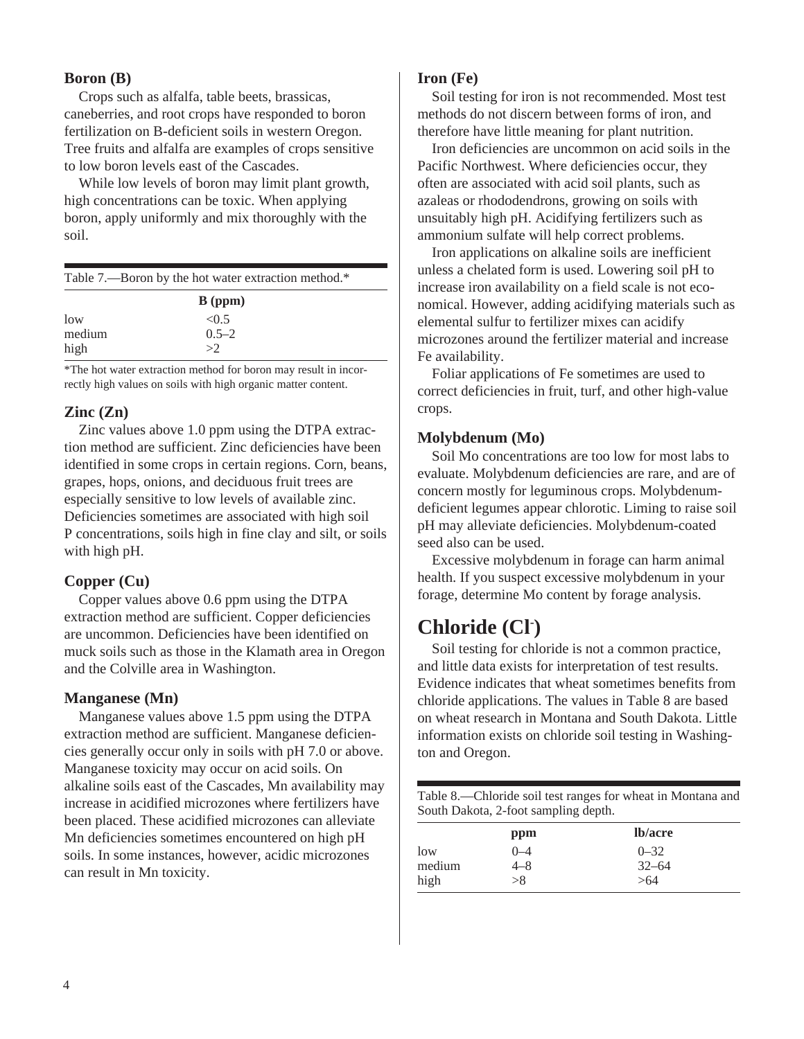#### **Boron (B)**

Crops such as alfalfa, table beets, brassicas, caneberries, and root crops have responded to boron fertilization on B-deficient soils in western Oregon. Tree fruits and alfalfa are examples of crops sensitive to low boron levels east of the Cascades.

While low levels of boron may limit plant growth. high concentrations can be toxic. When applying boron, apply uniformly and mix thoroughly with the soil.

| Table 7.—Boron by the hot water extraction method.* |           |  |
|-----------------------------------------------------|-----------|--|
|                                                     | $B$ (ppm) |  |
| low                                                 | < 0.5     |  |
| medium                                              | $0.5 - 2$ |  |
| high                                                | >2        |  |

\*The hot water extraction method for boron may result in incorrectly high values on soils with high organic matter content.

#### **Zinc (Zn)**

Zinc values above 1.0 ppm using the DTPA extraction method are sufficient. Zinc deficiencies have been identified in some crops in certain regions. Corn, beans, grapes, hops, onions, and deciduous fruit trees are especially sensitive to low levels of available zinc. Deficiencies sometimes are associated with high soil P concentrations, soils high in fine clay and silt, or soils with high pH.

#### **Copper (Cu)**

Copper values above 0.6 ppm using the DTPA extraction method are sufficient. Copper deficiencies are uncommon. Deficiencies have been identified on muck soils such as those in the Klamath area in Oregon and the Colville area in Washington.

#### **Manganese (Mn)**

Manganese values above 1.5 ppm using the DTPA extraction method are sufficient. Manganese deficiencies generally occur only in soils with pH 7.0 or above. Manganese toxicity may occur on acid soils. On alkaline soils east of the Cascades, Mn availability may increase in acidified microzones where fertilizers have been placed. These acidified microzones can alleviate Mn deficiencies sometimes encountered on high pH soils. In some instances, however, acidic microzones can result in Mn toxicity.

#### **Iron (Fe)**

Soil testing for iron is not recommended. Most test methods do not discern between forms of iron, and therefore have little meaning for plant nutrition.

Iron deficiencies are uncommon on acid soils in the Pacific Northwest. Where deficiencies occur, they often are associated with acid soil plants, such as azaleas or rhododendrons, growing on soils with unsuitably high pH. Acidifying fertilizers such as ammonium sulfate will help correct problems.

Iron applications on alkaline soils are inefficient unless a chelated form is used. Lowering soil pH to increase iron availability on a field scale is not economical. However, adding acidifying materials such as elemental sulfur to fertilizer mixes can acidify microzones around the fertilizer material and increase Fe availability.

Foliar applications of Fe sometimes are used to correct deficiencies in fruit, turf, and other high-value crops.

#### **Molybdenum (Mo)**

Soil Mo concentrations are too low for most labs to evaluate. Molybdenum deficiencies are rare, and are of concern mostly for leguminous crops. Molybdenumdeficient legumes appear chlorotic. Liming to raise soil pH may alleviate deficiencies. Molybdenum-coated seed also can be used.

Excessive molybdenum in forage can harm animal health. If you suspect excessive molybdenum in your forage, determine Mo content by forage analysis.

## **Chloride (Cl- )**

Soil testing for chloride is not a common practice, and little data exists for interpretation of test results. Evidence indicates that wheat sometimes benefits from chloride applications. The values in Table 8 are based on wheat research in Montana and South Dakota. Little information exists on chloride soil testing in Washington and Oregon.

Table 8.—Chloride soil test ranges for wheat in Montana and South Dakota, 2-foot sampling depth.

|        | ppm       | lb/acre   |  |
|--------|-----------|-----------|--|
| low    | $^{()}-4$ | $0 - 32$  |  |
| medium | 4–8       | $32 - 64$ |  |
| high   | >8        | >64       |  |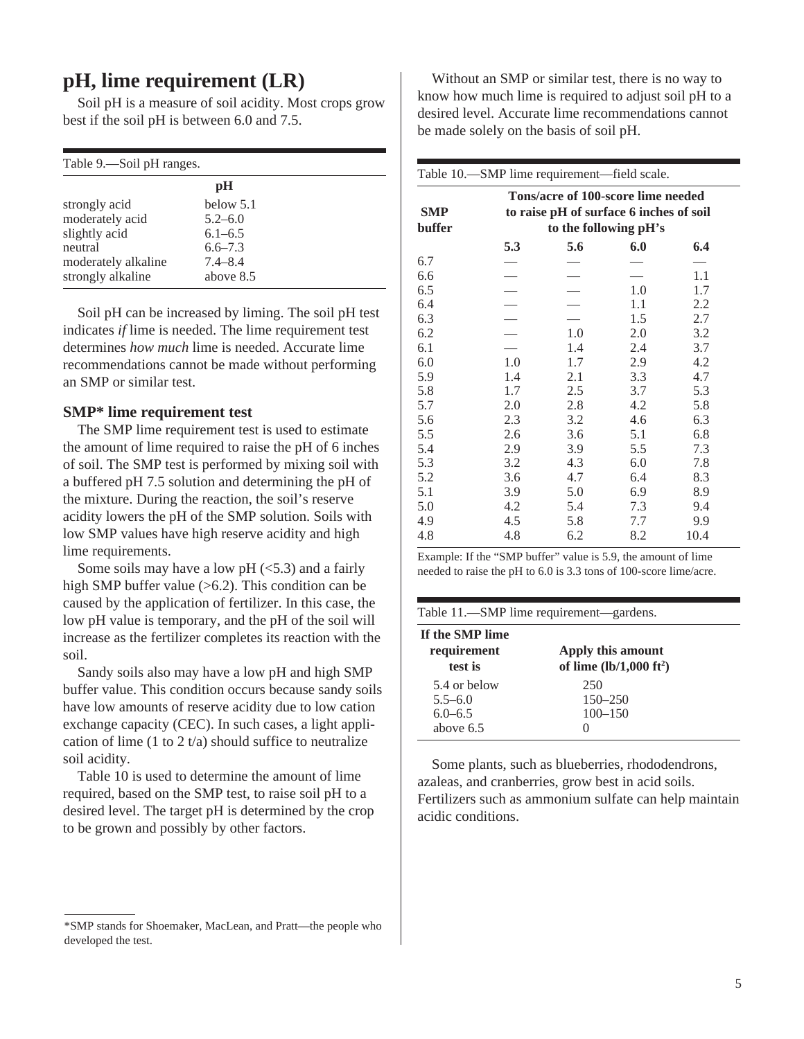## **pH, lime requirement (LR)**

Soil pH is a measure of soil acidity. Most crops grow best if the soil pH is between 6.0 and 7.5.

| Table 9.—Soil pH ranges. |  |  |
|--------------------------|--|--|
| pH                       |  |  |
| below 5.1                |  |  |
| $5.2 - 6.0$              |  |  |
| $6.1 - 6.5$              |  |  |
| $6.6 - 7.3$              |  |  |
| $7.4 - 8.4$              |  |  |
| above 8.5                |  |  |
|                          |  |  |

Soil pH can be increased by liming. The soil pH test indicates *if* lime is needed. The lime requirement test determines *how much* lime is needed. Accurate lime recommendations cannot be made without performing an SMP or similar test.

#### **SMP\* lime requirement test**

The SMP lime requirement test is used to estimate the amount of lime required to raise the pH of 6 inches of soil. The SMP test is performed by mixing soil with a buffered pH 7.5 solution and determining the pH of the mixture. During the reaction, the soil's reserve acidity lowers the pH of the SMP solution. Soils with low SMP values have high reserve acidity and high lime requirements.

Some soils may have a low  $pH$  ( $\leq$ 5.3) and a fairly high SMP buffer value  $(>6.2)$ . This condition can be caused by the application of fertilizer. In this case, the low pH value is temporary, and the pH of the soil will increase as the fertilizer completes its reaction with the soil.

Sandy soils also may have a low pH and high SMP buffer value. This condition occurs because sandy soils have low amounts of reserve acidity due to low cation exchange capacity (CEC). In such cases, a light application of lime (1 to 2 t/a) should suffice to neutralize soil acidity.

Table 10 is used to determine the amount of lime required, based on the SMP test, to raise soil pH to a desired level. The target pH is determined by the crop to be grown and possibly by other factors.

\*SMP stands for Shoemaker, MacLean, and Pratt—the people who developed the test.

Without an SMP or similar test, there is no way to know how much lime is required to adjust soil pH to a desired level. Accurate lime recommendations cannot be made solely on the basis of soil pH.

| Table 10.—SMP lime requirement—field scale. |                                                                                                        |     |     |      |
|---------------------------------------------|--------------------------------------------------------------------------------------------------------|-----|-----|------|
| <b>SMP</b><br>buffer                        | Tons/acre of 100-score lime needed<br>to raise pH of surface 6 inches of soil<br>to the following pH's |     |     |      |
|                                             | 5.3                                                                                                    | 5.6 | 6.0 | 6.4  |
| 6.7                                         |                                                                                                        |     |     |      |
| 6.6                                         |                                                                                                        |     |     | 1.1  |
| 6.5                                         |                                                                                                        |     | 1.0 | 1.7  |
| 6.4                                         |                                                                                                        |     | 1.1 | 2.2  |
| 6.3                                         |                                                                                                        |     | 1.5 | 2.7  |
| 6.2                                         |                                                                                                        | 1.0 | 2.0 | 3.2  |
| 6.1                                         |                                                                                                        | 1.4 | 2.4 | 3.7  |
| 6.0                                         | 1.0                                                                                                    | 1.7 | 2.9 | 4.2  |
| 5.9                                         | 1.4                                                                                                    | 2.1 | 3.3 | 4.7  |
| 5.8                                         | 1.7                                                                                                    | 2.5 | 3.7 | 5.3  |
| 5.7                                         | 2.0                                                                                                    | 2.8 | 4.2 | 5.8  |
| 5.6                                         | 2.3                                                                                                    | 3.2 | 4.6 | 6.3  |
| 5.5                                         | 2.6                                                                                                    | 3.6 | 5.1 | 6.8  |
| 5.4                                         | 2.9                                                                                                    | 3.9 | 5.5 | 7.3  |
| 5.3                                         | 3.2                                                                                                    | 4.3 | 6.0 | 7.8  |
| 5.2                                         | 3.6                                                                                                    | 4.7 | 6.4 | 8.3  |
| 5.1                                         | 3.9                                                                                                    | 5.0 | 6.9 | 8.9  |
| 5.0                                         | 4.2                                                                                                    | 5.4 | 7.3 | 9.4  |
| 4.9                                         | 4.5                                                                                                    | 5.8 | 7.7 | 9.9  |
| 4.8                                         | 4.8                                                                                                    | 6.2 | 8.2 | 10.4 |

Example: If the "SMP buffer" value is 5.9, the amount of lime needed to raise the pH to 6.0 is 3.3 tons of 100-score lime/acre.

|                                                           | Table 11.—SMP lime requirement—gardens.                |  |
|-----------------------------------------------------------|--------------------------------------------------------|--|
| If the SMP lime<br>requirement<br>test is                 | Apply this amount<br>of lime $(lb/1,000 \text{ ft}^2)$ |  |
| 5.4 or below<br>$5.5 - 6.0$<br>$6.0 - 6.5$<br>above $6.5$ | 250<br>$150 - 250$<br>$100 - 150$<br>0                 |  |

Some plants, such as blueberries, rhododendrons, azaleas, and cranberries, grow best in acid soils. Fertilizers such as ammonium sulfate can help maintain acidic conditions.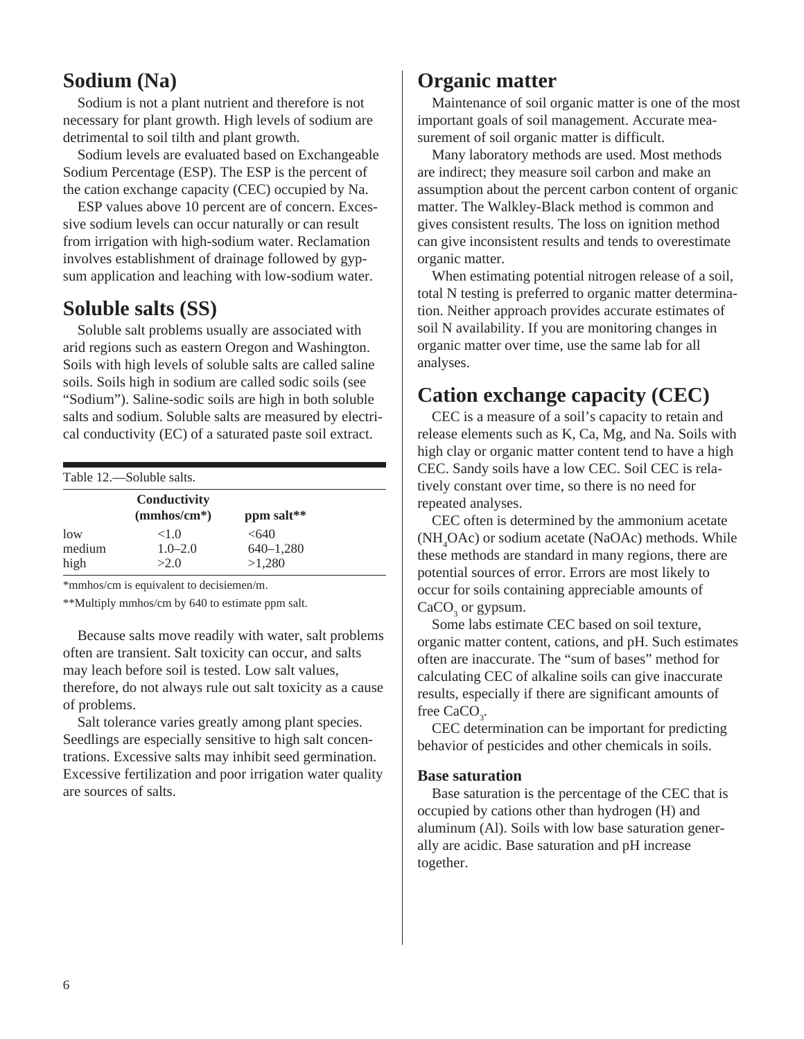## **Sodium (Na)**

Sodium is not a plant nutrient and therefore is not necessary for plant growth. High levels of sodium are detrimental to soil tilth and plant growth.

Sodium levels are evaluated based on Exchangeable Sodium Percentage (ESP). The ESP is the percent of the cation exchange capacity (CEC) occupied by Na.

ESP values above 10 percent are of concern. Excessive sodium levels can occur naturally or can result from irrigation with high-sodium water. Reclamation involves establishment of drainage followed by gypsum application and leaching with low-sodium water.

## **Soluble salts (SS)**

Soluble salt problems usually are associated with arid regions such as eastern Oregon and Washington. Soils with high levels of soluble salts are called saline soils. Soils high in sodium are called sodic soils (see "Sodium"). Saline-sodic soils are high in both soluble salts and sodium. Soluble salts are measured by electrical conductivity (EC) of a saturated paste soil extract.

| Table 12.—Soluble salts. |                               |                                  |  |  |
|--------------------------|-------------------------------|----------------------------------|--|--|
|                          | Conductivity<br>$(mmbos/cm*)$ | ppm salt**                       |  |  |
| low<br>medium<br>high    | <1.0<br>$1.0 - 2.0$<br>>2.0   | < 640<br>$640 - 1,280$<br>>1,280 |  |  |

\*mmhos/cm is equivalent to decisiemen/m.

\*\*Multiply mmhos/cm by 640 to estimate ppm salt.

Because salts move readily with water, salt problems often are transient. Salt toxicity can occur, and salts may leach before soil is tested. Low salt values, therefore, do not always rule out salt toxicity as a cause of problems.

Salt tolerance varies greatly among plant species. Seedlings are especially sensitive to high salt concentrations. Excessive salts may inhibit seed germination. Excessive fertilization and poor irrigation water quality are sources of salts.

## **Organic matter**

Maintenance of soil organic matter is one of the most important goals of soil management. Accurate measurement of soil organic matter is difficult.

Many laboratory methods are used. Most methods are indirect; they measure soil carbon and make an assumption about the percent carbon content of organic matter. The Walkley-Black method is common and gives consistent results. The loss on ignition method can give inconsistent results and tends to overestimate organic matter.

When estimating potential nitrogen release of a soil, total N testing is preferred to organic matter determination. Neither approach provides accurate estimates of soil N availability. If you are monitoring changes in organic matter over time, use the same lab for all analyses.

## **Cation exchange capacity (CEC)**

CEC is a measure of a soil's capacity to retain and release elements such as K, Ca, Mg, and Na. Soils with high clay or organic matter content tend to have a high CEC. Sandy soils have a low CEC. Soil CEC is relatively constant over time, so there is no need for repeated analyses.

CEC often is determined by the ammonium acetate (NH4 OAc) or sodium acetate (NaOAc) methods. While these methods are standard in many regions, there are potential sources of error. Errors are most likely to occur for soils containing appreciable amounts of  $CaCO<sub>3</sub>$  or gypsum.

Some labs estimate CEC based on soil texture, organic matter content, cations, and pH. Such estimates often are inaccurate. The "sum of bases" method for calculating CEC of alkaline soils can give inaccurate results, especially if there are significant amounts of free  $CaCO<sub>3</sub>$ .

CEC determination can be important for predicting behavior of pesticides and other chemicals in soils.

#### **Base saturation**

Base saturation is the percentage of the CEC that is occupied by cations other than hydrogen (H) and aluminum (Al). Soils with low base saturation generally are acidic. Base saturation and pH increase together.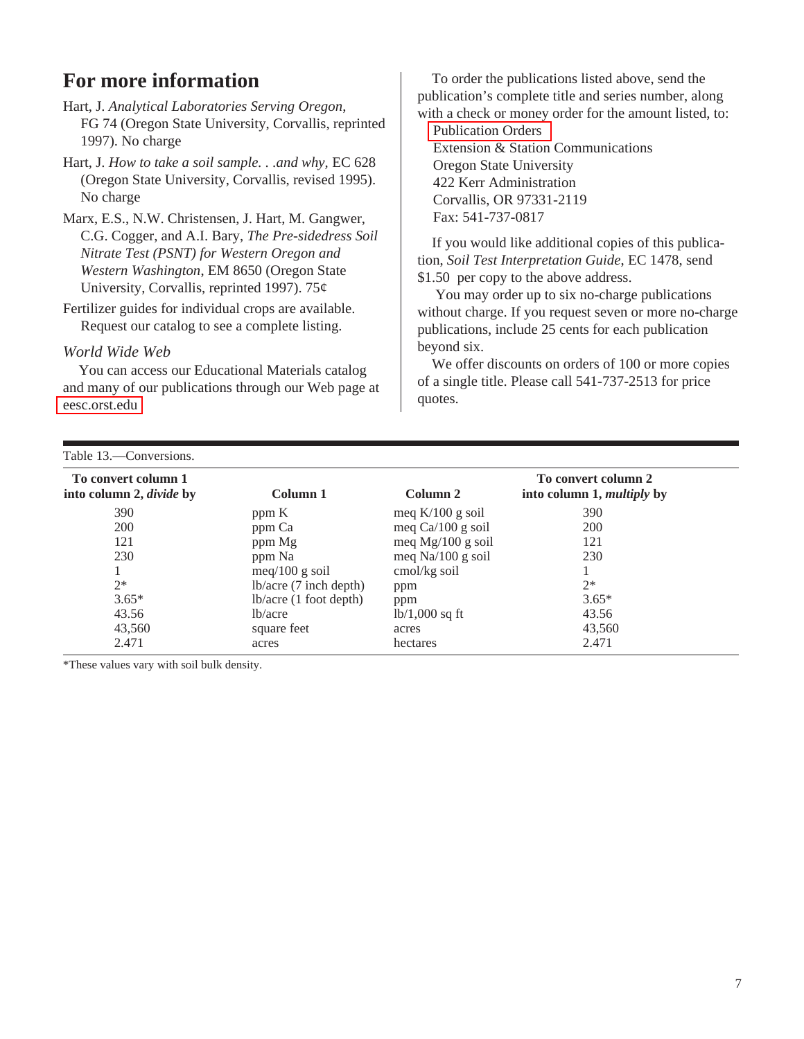## **For more information**

Hart, J. *Analytical Laboratories Serving Oregon*, FG 74 (Oregon State University, Corvallis, reprinted 1997). No charge

Hart, J. *How to take a soil sample. . .and why,* EC 628 (Oregon State University, Corvallis, revised 1995). No charge

Marx, E.S., N.W. Christensen, J. Hart, M. Gangwer, C.G. Cogger, and A.I. Bary, *The Pre-sidedress Soil Nitrate Test (PSNT) for Western Oregon and Western Washington*, EM 8650 (Oregon State University, Corvallis, reprinted 1997). 75¢

Fertilizer guides for individual crops are available. Request our catalog to see a complete listing.

#### *World Wide Web*

You can access our Educational Materials catalog and many of our publications through our Web page at [eesc.orst.edu](http://extension.oregonstate.edu/catalog/index.php)

To order the publications listed above, send the publication's complete title and series number, along with a check or money order for the amount listed, to:

[Publication Orders](http://extension.oregonstate.edu/catalog/orderinfo.php) Extension & Station Communications Oregon State University 422 Kerr Administration Corvallis, OR 97331-2119 Fax: 541-737-0817

If you would like additional copies of this publication, *Soil Test Interpretation Guide*, EC 1478, send \$1.50 per copy to the above address.

 You may order up to six no-charge publications without charge. If you request seven or more no-charge publications, include 25 cents for each publication beyond six.

We offer discounts on orders of 100 or more copies of a single title. Please call 541-737-2513 for price quotes.

| Table 13.—Conversions.                                 |                                                                                         |                                                                                         |                                                          |  |
|--------------------------------------------------------|-----------------------------------------------------------------------------------------|-----------------------------------------------------------------------------------------|----------------------------------------------------------|--|
| To convert column 1<br>into column 2, <i>divide</i> by | Column 1                                                                                | Column 2                                                                                | To convert column 2<br>into column 1, <i>multiply</i> by |  |
| 390<br>200<br>121<br>230                               | ppm K<br>ppm Ca<br>ppm Mg<br>ppm Na<br>meq $/100$ g soil                                | meq $K/100$ g soil<br>meq $Ca/100 g$ soil<br>meq $Mg/100 g$ soil<br>meq $Na/100 g$ soil | 390<br>200<br>121<br>230                                 |  |
| $2*$<br>$3.65*$<br>43.56<br>43,560<br>2.471            | $lb/acre$ (7 inch depth)<br>$lb/acre$ (1 foot depth)<br>lb/acre<br>square feet<br>acres | cmol/kg soil<br>ppm<br>ppm<br>$lb/1,000$ sq ft<br>acres<br>hectares                     | $2*$<br>$3.65*$<br>43.56<br>43,560<br>2.471              |  |

\*These values vary with soil bulk density.